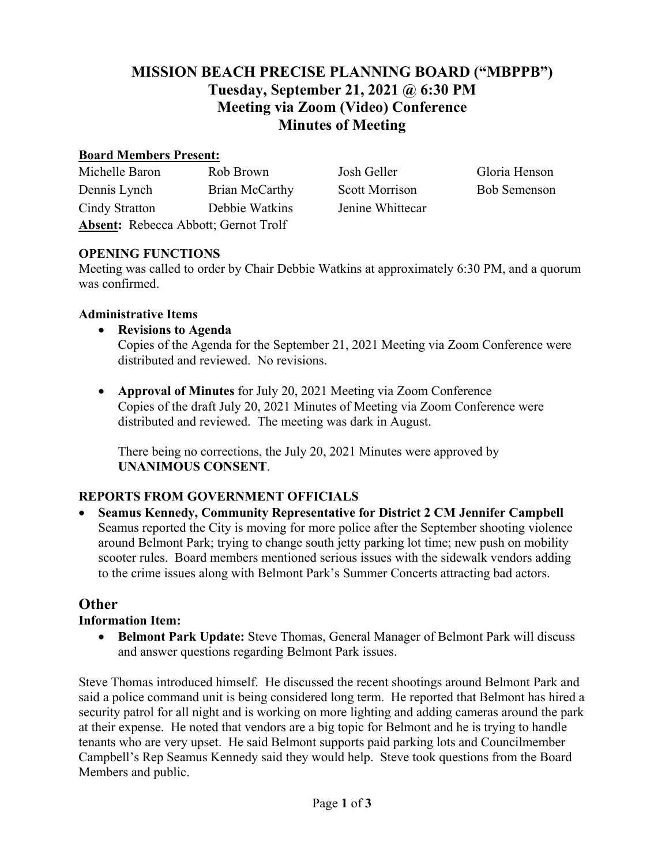# **MISSION BEACH PRECISE PLANNING BOARD ("MBPPB") Tuesday, September 21, 2021 @ 6:30 PM Meeting via Zoom (Video) Conference Minutes of Meeting**

#### **Board Members Present:**

| Michelle Baron                              | Rob Brown             |
|---------------------------------------------|-----------------------|
| Dennis Lynch                                | <b>Brian McCarthy</b> |
| Cindy Stratton                              | Debbie Watkins        |
| <b>Absent:</b> Rebecca Abbott; Gernot Trolf |                       |

Josh Geller Gloria Henson Scott Morrison Bob Semenson Jenine Whittecar

### **OPENING FUNCTIONS**

Meeting was called to order by Chair Debbie Watkins at approximately 6:30 PM, and a quorum was confirmed.

### **Administrative Items**

- **Revisions to Agenda**  Copies of the Agenda for the September 21, 2021 Meeting via Zoom Conference were distributed and reviewed. No revisions.
- **Approval of Minutes** for July 20, 2021 Meeting via Zoom Conference Copies of the draft July 20, 2021 Minutes of Meeting via Zoom Conference were distributed and reviewed. The meeting was dark in August.

There being no corrections, the July 20, 2021 Minutes were approved by **UNANIMOUS CONSENT**.

## **REPORTS FROM GOVERNMENT OFFICIALS**

• **Seamus Kennedy, Community Representative for District 2 CM Jennifer Campbell** Seamus reported the City is moving for more police after the September shooting violence around Belmont Park; trying to change south jetty parking lot time; new push on mobility scooter rules. Board members mentioned serious issues with the sidewalk vendors adding to the crime issues along with Belmont Park's Summer Concerts attracting bad actors.

### **Other**

### **Information Item:**

• **Belmont Park Update:** Steve Thomas, General Manager of Belmont Park will discuss and answer questions regarding Belmont Park issues.

Steve Thomas introduced himself. He discussed the recent shootings around Belmont Park and said a police command unit is being considered long term. He reported that Belmont has hired a security patrol for all night and is working on more lighting and adding cameras around the park at their expense. He noted that vendors are a big topic for Belmont and he is trying to handle tenants who are very upset. He said Belmont supports paid parking lots and Councilmember Campbell's Rep Seamus Kennedy said they would help. Steve took questions from the Board Members and public.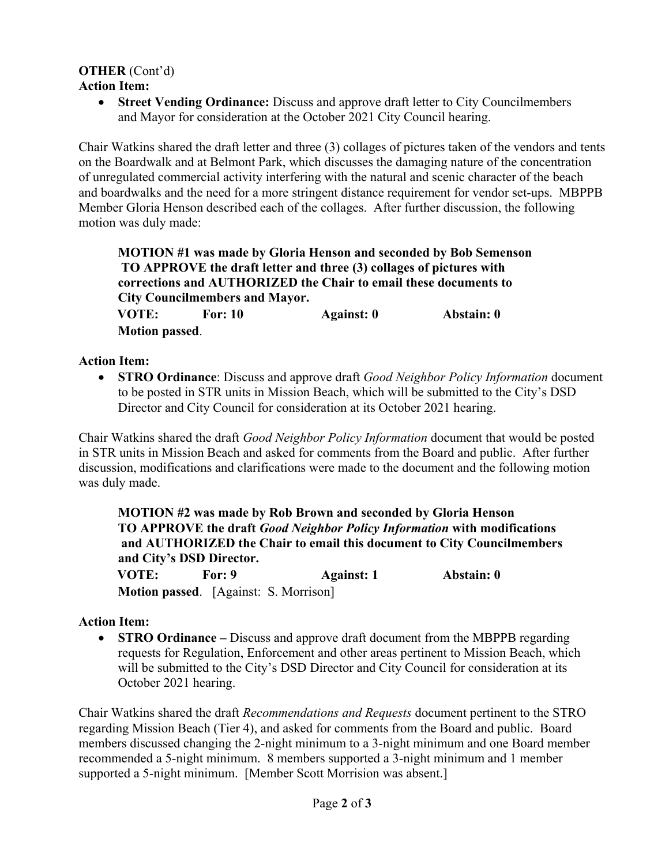#### **OTHER** (Cont'd) **Action Item:**

• **Street Vending Ordinance:** Discuss and approve draft letter to City Councilmembers and Mayor for consideration at the October 2021 City Council hearing.

Chair Watkins shared the draft letter and three (3) collages of pictures taken of the vendors and tents on the Boardwalk and at Belmont Park, which discusses the damaging nature of the concentration of unregulated commercial activity interfering with the natural and scenic character of the beach and boardwalks and the need for a more stringent distance requirement for vendor set-ups. MBPPB Member Gloria Henson described each of the collages. After further discussion, the following motion was duly made:

**MOTION #1 was made by Gloria Henson and seconded by Bob Semenson TO APPROVE the draft letter and three (3) collages of pictures with corrections and AUTHORIZED the Chair to email these documents to City Councilmembers and Mayor.** 

 **VOTE: For: 10 Against: 0 Abstain: 0 Motion passed**.

### **Action Item:**

• **STRO Ordinance**: Discuss and approve draft *Good Neighbor Policy Information* document to be posted in STR units in Mission Beach, which will be submitted to the City's DSD Director and City Council for consideration at its October 2021 hearing.

Chair Watkins shared the draft *Good Neighbor Policy Information* document that would be posted in STR units in Mission Beach and asked for comments from the Board and public. After further discussion, modifications and clarifications were made to the document and the following motion was duly made.

**MOTION #2 was made by Rob Brown and seconded by Gloria Henson TO APPROVE the draft** *Good Neighbor Policy Information* **with modifications and AUTHORIZED the Chair to email this document to City Councilmembers and City's DSD Director. VOTE: For: 9 Against: 1 Abstain: 0**

**Motion passed**. [Against: S. Morrison]

### **Action Item:**

• **STRO Ordinance –** Discuss and approve draft document from the MBPPB regarding requests for Regulation, Enforcement and other areas pertinent to Mission Beach, which will be submitted to the City's DSD Director and City Council for consideration at its October 2021 hearing.

Chair Watkins shared the draft *Recommendations and Requests* document pertinent to the STRO regarding Mission Beach (Tier 4), and asked for comments from the Board and public. Board members discussed changing the 2-night minimum to a 3-night minimum and one Board member recommended a 5-night minimum. 8 members supported a 3-night minimum and 1 member supported a 5-night minimum. [Member Scott Morrision was absent.]